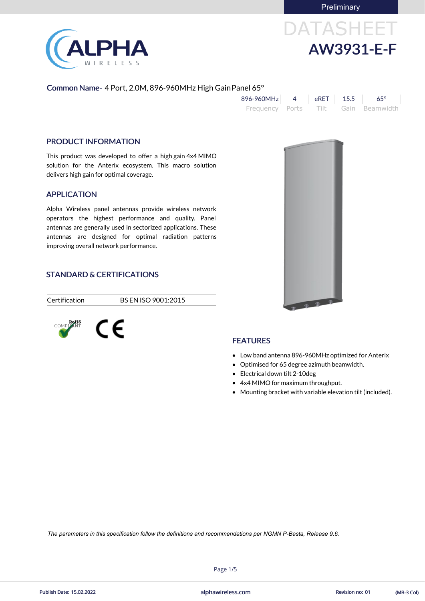**Preliminary** 



# DATASHEET AW3931-E-F

#### Common Name- 4 Port, 2.0M, 896-960MHz High GainPanel 65°

| 896-960MHz      | $eRET$ 15.5 | $65^\circ$          |
|-----------------|-------------|---------------------|
| Frequency Ports |             | Tilt Gain Beamwidth |

#### PRODUCT INFORMATION

This product was developed to offer a high gain 4x4 MIMO solution for the Anterix ecosystem. This macro solution delivers high gain for optimal coverage.

#### APPLICATION

Alpha Wireless panel antennas provide wireless network operators the highest performance and quality. Panel antennas are generally used in sectorized applications. These antennas are designed for optimal radiation patterns improving overall network performance.

#### STANDARD & CERTIFICATIONS

Certification BS EN ISO 9001:2015





### **FEATURES**

- Low band antenna 896-960MHz optimized for Anterix
- Optimised for 65 degree azimuth beamwidth.
- Electrical down tilt 2-10deg
- 4x4 MIMO for maximum throughput.
- Mounting bracket with variable elevation tilt (included).

Page 1/5



*The parameters in this specification follow the definitions and recommendations per NGMN P-Basta, Release 9.6.*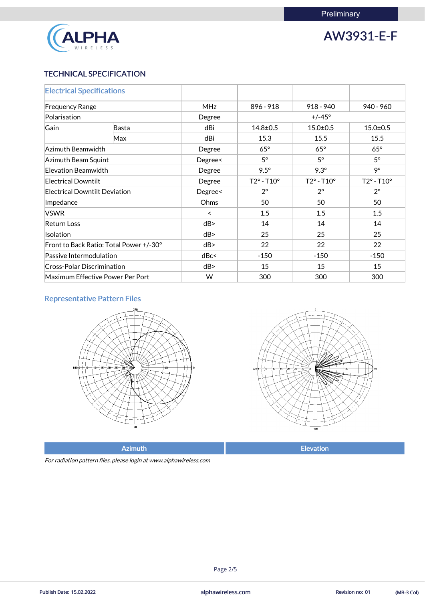

## AW3931-E-F

#### TECHNICAL SPECIFICATION

| <b>Electrical Specifications</b>        |              |            |                            |                            |                            |  |
|-----------------------------------------|--------------|------------|----------------------------|----------------------------|----------------------------|--|
| <b>Frequency Range</b>                  |              | <b>MHz</b> | 896 - 918                  | $918 - 940$                | $940 - 960$                |  |
| Polarisation                            |              | Degree     |                            | $+/-45^{\circ}$            |                            |  |
| Gain                                    | <b>Basta</b> | dBi        | $14.8 \pm 0.5$             | $15.0 \pm 0.5$             | $15.0 + 0.5$               |  |
|                                         | Max          | dBi        | 15.3                       | 15.5                       | 15.5                       |  |
| Azimuth Beamwidth                       |              | Degree     | $65^\circ$                 | $65^\circ$                 | $65^\circ$                 |  |
| Azimuth Beam Squint                     |              | Degree<    | $5^\circ$                  | $5^\circ$                  | $5^\circ$                  |  |
| Elevation Beamwidth                     |              | Degree     | $9.5^\circ$                | $9.3^\circ$                | 9°                         |  |
| <b>Electrical Downtilt</b>              |              | Degree     | $T2^{\circ} - T10^{\circ}$ | $T2^{\circ} - T10^{\circ}$ | $T2^{\circ} - T10^{\circ}$ |  |
| <b>Electrical Downtilt Deviation</b>    |              | Degree<    | $2^{\circ}$                | $2^{\circ}$                | $2^{\circ}$                |  |
| Impedance                               |              | Ohms       | 50                         | 50                         | 50                         |  |
| <b>VSWR</b>                             |              | $\prec$    | 1.5                        | 1.5                        | 1.5                        |  |
| <b>Return Loss</b>                      |              | dB         | 14                         | 14                         | 14                         |  |
| <b>Isolation</b>                        |              | dB         | 25                         | 25                         | 25                         |  |
| Front to Back Ratio: Total Power +/-30° |              | dB         | 22                         | 22                         | 22                         |  |
| Passive Intermodulation                 |              | dBc<       | $-150$                     | $-150$                     | $-150$                     |  |
| <b>Cross-Polar Discrimination</b>       |              | dB         | 15                         | 15                         | 15                         |  |
| Maximum Effective Power Per Port        |              | W          | 300                        | 300                        | 300                        |  |

### Representative Pattern Files





Azimuth **Elevation** 

For radiation pattern files, please login at www.alphawireless.com

Page 2/5

alphawireless.com Publish Date: 15.02.2022 Revision no: 01 (MB-3 Col)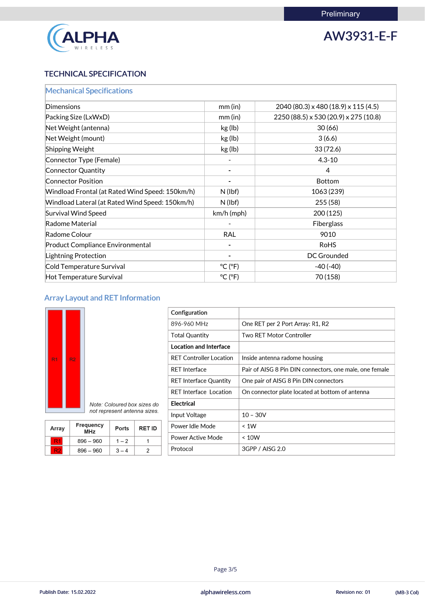

## AW3931-E-F

#### TECHNICAL SPECIFICATION

| <b>Mechanical Specifications</b>                |                              |                                       |  |
|-------------------------------------------------|------------------------------|---------------------------------------|--|
| <b>Dimensions</b>                               | mm(in)                       | 2040 (80.3) x 480 (18.9) x 115 (4.5)  |  |
| Packing Size (LxWxD)                            | $mm$ (in)                    | 2250 (88.5) x 530 (20.9) x 275 (10.8) |  |
| Net Weight (antenna)                            | kg (lb)                      | 30(66)                                |  |
| Net Weight (mount)                              | kg (lb)                      | 3(6.6)                                |  |
| Shipping Weight                                 | kg (lb)                      | 33(72.6)                              |  |
| Connector Type (Female)                         |                              | $4.3 - 10$                            |  |
| <b>Connector Quantity</b>                       |                              | 4                                     |  |
| <b>Connector Position</b>                       |                              | <b>Bottom</b>                         |  |
| Windload Frontal (at Rated Wind Speed: 150km/h) | $N$ (lbf)                    | 1063 (239)                            |  |
| Windload Lateral (at Rated Wind Speed: 150km/h) | $N$ (lbf)                    | 255(58)                               |  |
| <b>Survival Wind Speed</b>                      | $km/h$ (mph)                 | 200(125)                              |  |
| Radome Material                                 |                              | <b>Fiberglass</b>                     |  |
| Radome Colour                                   | <b>RAL</b>                   | 9010                                  |  |
| <b>Product Compliance Environmental</b>         |                              | <b>RoHS</b>                           |  |
| Lightning Protection                            |                              | DC Grounded                           |  |
| Cold Temperature Survival                       | $^{\circ}$ C ( $^{\circ}$ F) | $-40(-40)$                            |  |
| Hot Temperature Survival                        | $^{\circ}$ C ( $^{\circ}$ F) | 70 (158)                              |  |

### Array Layout and RET Information



 $R<sub>2</sub>$ 

└

| Configuration                  |                                                         |
|--------------------------------|---------------------------------------------------------|
| 896-960 MHz                    | One RET per 2 Port Array: R1, R2                        |
| <b>Total Quantity</b>          | Two RET Motor Controller                                |
| <b>Location and Interface</b>  |                                                         |
| <b>RET Controller Location</b> | Inside antenna radome housing                           |
| <b>RET Interface</b>           | Pair of AISG 8 Pin DIN connectors, one male, one female |
| <b>RET Interface Quantity</b>  | One pair of AISG 8 Pin DIN connectors                   |
| <b>RET Interface Location</b>  | On connector plate located at bottom of antenna         |
| <b>Electrical</b>              |                                                         |
| Input Voltage                  | $10 - 30V$                                              |
| Power Idle Mode                | < 1W                                                    |
| Power Active Mode              | ~< 10W                                                  |
| Protocol                       | 3GPP / AISG 2.0                                         |
|                                |                                                         |

| <b>Array</b> | <b>Frequency</b><br><b>MHz</b> | <b>Ports</b> | <b>RET ID</b> |
|--------------|--------------------------------|--------------|---------------|
|              | $896 - 960$                    | $-2$         |               |

 $3 - 4$ 

 $\sqrt{2}$ 

 $896 - 960$ 

#### **L**

Page 3/5

alphawireless.com Publish Date: 15.02.2022 Revision no: 01 (MB-3 Col)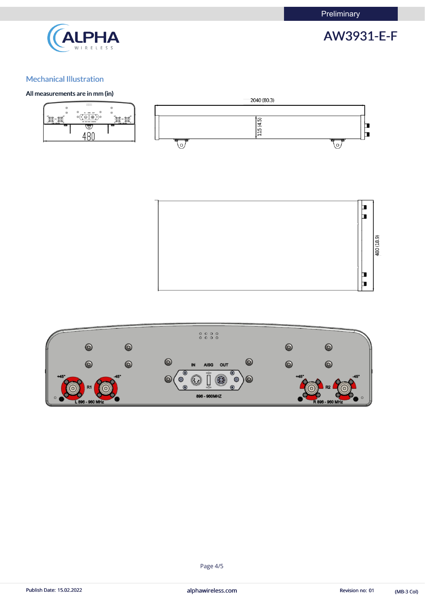**Preliminary** 



AW3931-E-F

#### Mechanical Illustration

#### All measurements are in mm (in)







#### Page 4/5